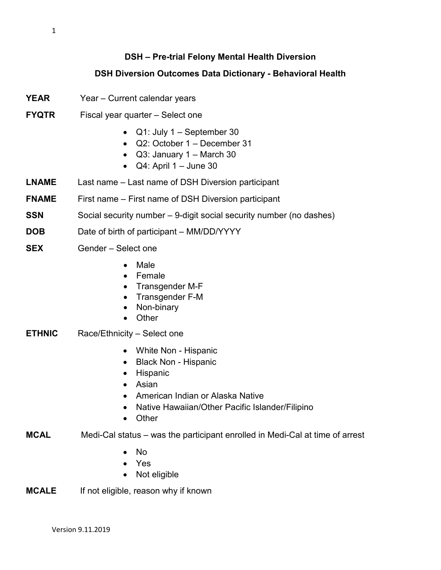## **DSH – Pre-trial Felony Mental Health Diversion**

## **DSH Diversion Outcomes Data Dictionary - Behavioral Health**

- **YEAR** Year Current calendar years
- **FYQTR** Fiscal year quarter Select one
	- Q1: July 1 September 30
	- Q2: October 1 December 31
	- $Q3:$  January 1 March 30
	- $\bullet$  Q4: April 1 June 30
- **LNAME** Last name Last name of DSH Diversion participant
- **FNAME** First name First name of DSH Diversion participant
- **SSN** Social security number 9-digit social security number (no dashes)
- **DOB** Date of birth of participant MM/DD/YYYY
- **SEX** Gender Select one
	- Male
	- Female
	- Transgender M-F
	- Transgender F-M
	- Non-binary
	- Other
- **ETHNIC** Race/Ethnicity Select one
	- White Non Hispanic
	- Black Non Hispanic
	- Hispanic
	- Asian
	- American Indian or Alaska Native
	- Native Hawaiian/Other Pacific Islander/Filipino
	- Other
- **MCAL** Medi-Cal status was the participant enrolled in Medi-Cal at time of arrest
	- No
	- Yes
	- Not eligible
- **MCALE** If not eligible, reason why if known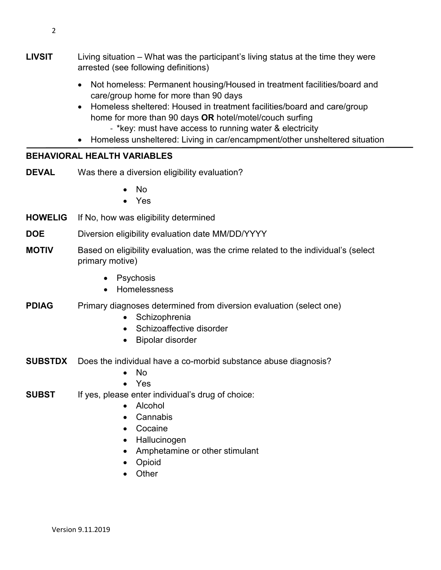2

- **LIVSIT** Living situation What was the participant's living status at the time they were arrested (see following definitions)
	- Not homeless: Permanent housing/Housed in treatment facilities/board and care/group home for more than 90 days
	- Homeless sheltered: Housed in treatment facilities/board and care/group home for more than 90 days **OR** hotel/motel/couch surfing
		- \*key: must have access to running water & electricity
	- Homeless unsheltered: Living in car/encampment/other unsheltered situation

## **BEHAVIORAL HEALTH VARIABLES**

- **DEVAL** Was there a diversion eligibility evaluation?
	- No
	- Yes
- **HOWELIG** If No, how was eligibility determined
- **DOE** Diversion eligibility evaluation date MM/DD/YYYY
- **MOTIV** Based on eligibility evaluation, was the crime related to the individual's (select primary motive)
	- Psychosis
	- Homelessness
- **PDIAG** Primary diagnoses determined from diversion evaluation (select one)
	- Schizophrenia
	- Schizoaffective disorder
	- Bipolar disorder
- **SUBSTDX** Does the individual have a co-morbid substance abuse diagnosis?
	- No
	- Yes
- **SUBST** If yes, please enter individual's drug of choice:
	- Alcohol
	- Cannabis
	- Cocaine
	- Hallucinogen
	- Amphetamine or other stimulant
	- Opioid
	- Other